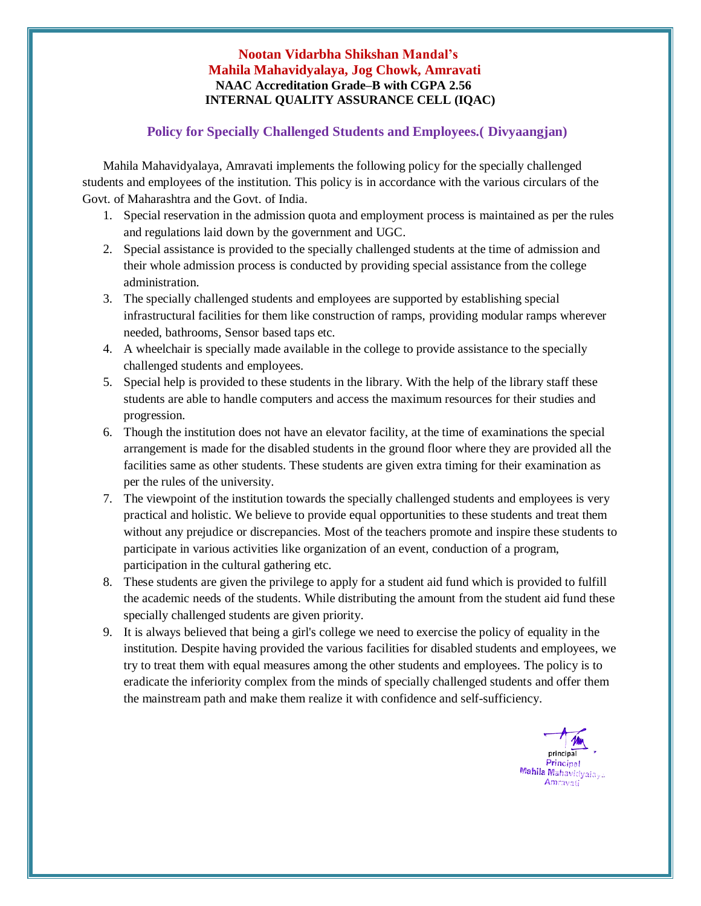## **Nootan Vidarbha Shikshan Mandal's Mahila Mahavidyalaya, Jog Chowk, Amravati NAAC Accreditation Grade–B with CGPA 2.56 INTERNAL QUALITY ASSURANCE CELL (IQAC)**

## **Policy for Specially Challenged Students and Employees.( Divyaangjan)**

Mahila Mahavidyalaya, Amravati implements the following policy for the specially challenged students and employees of the institution. This policy is in accordance with the various circulars of the Govt. of Maharashtra and the Govt. of India.

- 1. Special reservation in the admission quota and employment process is maintained as per the rules and regulations laid down by the government and UGC.
- 2. Special assistance is provided to the specially challenged students at the time of admission and their whole admission process is conducted by providing special assistance from the college administration.
- 3. The specially challenged students and employees are supported by establishing special infrastructural facilities for them like construction of ramps, providing modular ramps wherever needed, bathrooms, Sensor based taps etc.
- 4. A wheelchair is specially made available in the college to provide assistance to the specially challenged students and employees.
- 5. Special help is provided to these students in the library. With the help of the library staff these students are able to handle computers and access the maximum resources for their studies and progression.
- 6. Though the institution does not have an elevator facility, at the time of examinations the special arrangement is made for the disabled students in the ground floor where they are provided all the facilities same as other students. These students are given extra timing for their examination as per the rules of the university.
- 7. The viewpoint of the institution towards the specially challenged students and employees is very practical and holistic. We believe to provide equal opportunities to these students and treat them without any prejudice or discrepancies. Most of the teachers promote and inspire these students to participate in various activities like organization of an event, conduction of a program, participation in the cultural gathering etc.
- 8. These students are given the privilege to apply for a student aid fund which is provided to fulfill the academic needs of the students. While distributing the amount from the student aid fund these specially challenged students are given priority.
- 9. It is always believed that being a girl's college we need to exercise the policy of equality in the institution. Despite having provided the various facilities for disabled students and employees, we try to treat them with equal measures among the other students and employees. The policy is to eradicate the inferiority complex from the minds of specially challenged students and offer them the mainstream path and make them realize it with confidence and self-sufficiency.